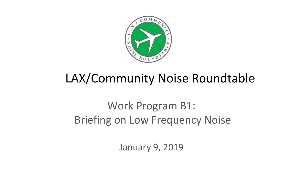

# LAX/Community Noise Roundtable

## Work Program B1: Briefing on Low Frequency Noise

January 9, 2019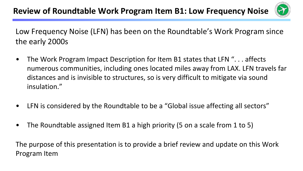

Low Frequency Noise (LFN) has been on the Roundtable's Work Program since the early 2000s

- The Work Program Impact Description for Item B1 states that LFN ". . . affects numerous communities, including ones located miles away from LAX. LFN travels far distances and is invisible to structures, so is very difficult to mitigate via sound insulation."
- LFN is considered by the Roundtable to be a "Global issue affecting all sectors"
- The Roundtable assigned Item B1 a high priority (5 on a scale from 1 to 5)

The purpose of this presentation is to provide a brief review and update on this Work Program Item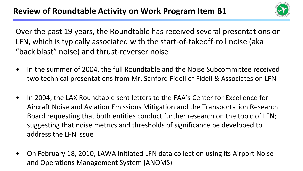

Over the past 19 years, the Roundtable has received several presentations on LFN, which is typically associated with the start-of-takeoff-roll noise (aka "back blast" noise) and thrust-reverser noise

- In the summer of 2004, the full Roundtable and the Noise Subcommittee received two technical presentations from Mr. Sanford Fidell of Fidell & Associates on LFN
- In 2004, the LAX Roundtable sent letters to the FAA's Center for Excellence for Aircraft Noise and Aviation Emissions Mitigation and the Transportation Research Board requesting that both entities conduct further research on the topic of LFN; suggesting that noise metrics and thresholds of significance be developed to address the LFN issue
- On February 18, 2010, LAWA initiated LFN data collection using its Airport Noise and Operations Management System (ANOMS)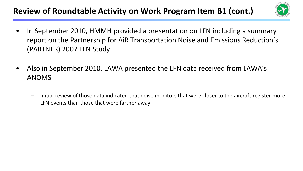### **Review of Roundtable Activity on Work Program Item B1 (cont.)**



- In September 2010, HMMH provided a presentation on LFN including a summary report on the Partnership for AiR Transportation Noise and Emissions Reduction's (PARTNER) 2007 LFN Study
- Also in September 2010, LAWA presented the LFN data received from LAWA's ANOMS
	- Initial review of those data indicated that noise monitors that were closer to the aircraft register more LFN events than those that were farther away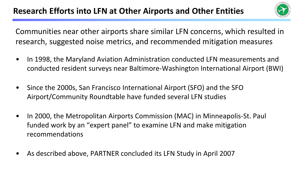

Communities near other airports share similar LFN concerns, which resulted in research, suggested noise metrics, and recommended mitigation measures

- In 1998, the Maryland Aviation Administration conducted LFN measurements and conducted resident surveys near Baltimore-Washington International Airport (BWI)
- Since the 2000s, San Francisco International Airport (SFO) and the SFO Airport/Community Roundtable have funded several LFN studies
- In 2000, the Metropolitan Airports Commission (MAC) in Minneapolis-St. Paul funded work by an "expert panel" to examine LFN and make mitigation recommendations
- As described above, PARTNER concluded its LFN Study in April 2007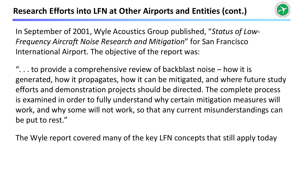

In September of 2001, Wyle Acoustics Group published, "*Status of Low-Frequency Aircraft Noise Research and Mitigation*" for San Francisco International Airport. The objective of the report was:

"... to provide a comprehensive review of backblast noise  $-$  how it is generated, how it propagates, how it can be mitigated, and where future study efforts and demonstration projects should be directed. The complete process is examined in order to fully understand why certain mitigation measures will work, and why some will not work, so that any current misunderstandings can be put to rest."

The Wyle report covered many of the key LFN concepts that still apply today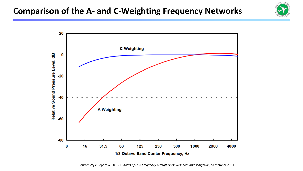#### **Comparison of the A- and C-Weighting Frequency Networks**





Source: Wyle Report WR 01-21, *Status of Low-Frequency Aircraft Noise Research and Mitigation*, September 2001.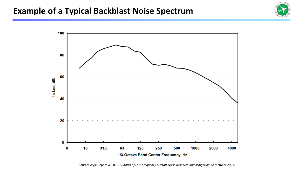#### **Example of a Typical Backblast Noise Spectrum**





Source: Wyle Report WR 01-21, *Status of Low-Frequency Aircraft Noise Research and Mitigation*, September 2001.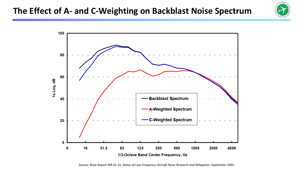



Source: Wyle Report WR 01-21, *Status of Low-Frequency Aircraft Noise Research and Mitigation*, September 2001.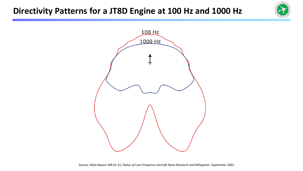#### **Directivity Patterns for a JT8D Engine at 100 Hz and 1000 Hz**





Source: Wyle Report WR 01-21, *Status of Low-Frequency Aircraft Noise Research and Mitigation*, September 2001.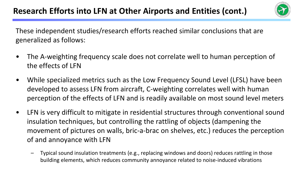

These independent studies/research efforts reached similar conclusions that are generalized as follows:

- The A-weighting frequency scale does not correlate well to human perception of the effects of LFN
- While specialized metrics such as the Low Frequency Sound Level (LFSL) have been developed to assess LFN from aircraft, C-weighting correlates well with human perception of the effects of LFN and is readily available on most sound level meters
- LFN is very difficult to mitigate in residential structures through conventional sound insulation techniques, but controlling the rattling of objects (dampening the movement of pictures on walls, bric-a-brac on shelves, etc.) reduces the perception of and annoyance with LFN
	- Typical sound insulation treatments (e.g., replacing windows and doors) reduces rattling in those building elements, which reduces community annoyance related to noise-induced vibrations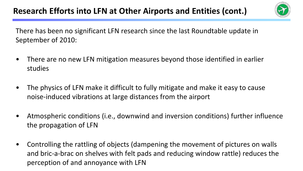

There has been no significant LFN research since the last Roundtable update in September of 2010:

- There are no new LFN mitigation measures beyond those identified in earlier studies
- The physics of LFN make it difficult to fully mitigate and make it easy to cause noise-induced vibrations at large distances from the airport
- Atmospheric conditions (i.e., downwind and inversion conditions) further influence the propagation of LFN
- Controlling the rattling of objects (dampening the movement of pictures on walls and bric-a-brac on shelves with felt pads and reducing window rattle) reduces the perception of and annoyance with LFN